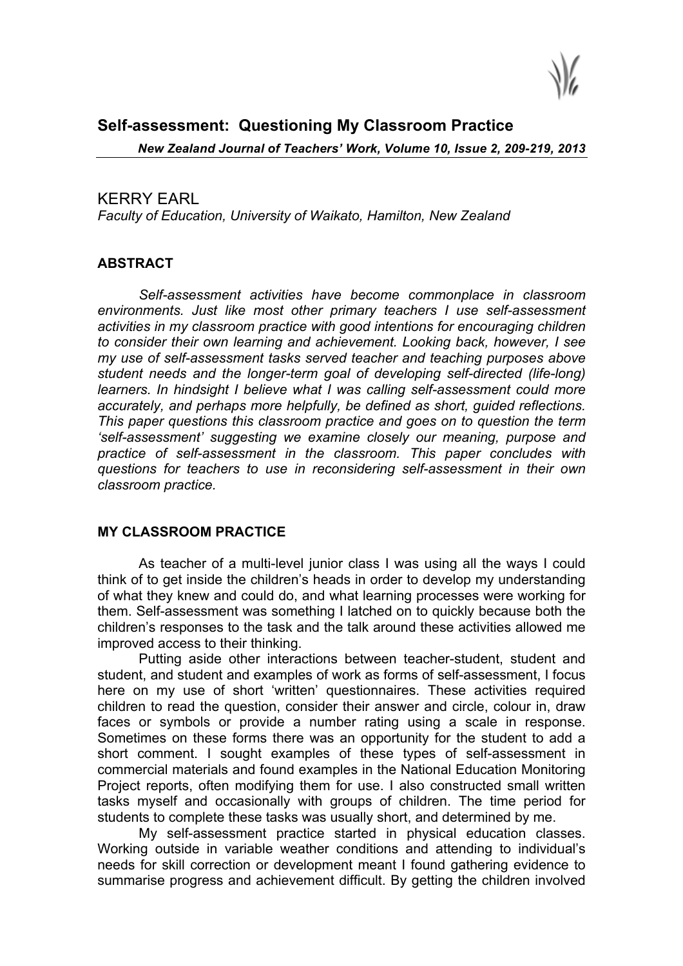

# **Self-assessment: Questioning My Classroom Practice**

*New Zealand Journal of Teachers' Work, Volume 10, Issue 2, 209-219, 2013*

# KERRY EARL

*Faculty of Education, University of Waikato, Hamilton, New Zealand*

# **ABSTRACT**

*Self-assessment activities have become commonplace in classroom environments. Just like most other primary teachers I use self-assessment activities in my classroom practice with good intentions for encouraging children to consider their own learning and achievement. Looking back, however, I see my use of self-assessment tasks served teacher and teaching purposes above student needs and the longer-term goal of developing self-directed (life-long) learners. In hindsight I believe what I was calling self-assessment could more accurately, and perhaps more helpfully, be defined as short, guided reflections. This paper questions this classroom practice and goes on to question the term 'self-assessment' suggesting we examine closely our meaning, purpose and practice of self-assessment in the classroom. This paper concludes with questions for teachers to use in reconsidering self-assessment in their own classroom practice.*

### **MY CLASSROOM PRACTICE**

As teacher of a multi-level junior class I was using all the ways I could think of to get inside the children's heads in order to develop my understanding of what they knew and could do, and what learning processes were working for them. Self-assessment was something I latched on to quickly because both the children's responses to the task and the talk around these activities allowed me improved access to their thinking.

Putting aside other interactions between teacher-student, student and student, and student and examples of work as forms of self-assessment, I focus here on my use of short 'written' questionnaires. These activities required children to read the question, consider their answer and circle, colour in, draw faces or symbols or provide a number rating using a scale in response. Sometimes on these forms there was an opportunity for the student to add a short comment. I sought examples of these types of self-assessment in commercial materials and found examples in the National Education Monitoring Project reports, often modifying them for use. I also constructed small written tasks myself and occasionally with groups of children. The time period for students to complete these tasks was usually short, and determined by me.

My self-assessment practice started in physical education classes. Working outside in variable weather conditions and attending to individual's needs for skill correction or development meant I found gathering evidence to summarise progress and achievement difficult. By getting the children involved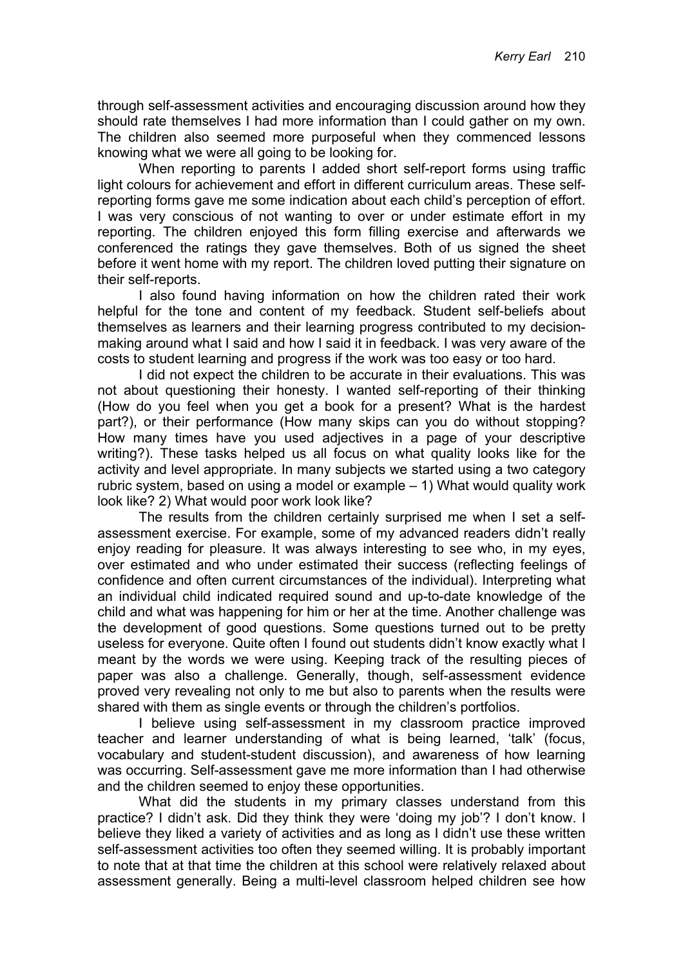through self-assessment activities and encouraging discussion around how they should rate themselves I had more information than I could gather on my own. The children also seemed more purposeful when they commenced lessons knowing what we were all going to be looking for.

When reporting to parents I added short self-report forms using traffic light colours for achievement and effort in different curriculum areas. These selfreporting forms gave me some indication about each child's perception of effort. I was very conscious of not wanting to over or under estimate effort in my reporting. The children enjoyed this form filling exercise and afterwards we conferenced the ratings they gave themselves. Both of us signed the sheet before it went home with my report. The children loved putting their signature on their self-reports.

I also found having information on how the children rated their work helpful for the tone and content of my feedback. Student self-beliefs about themselves as learners and their learning progress contributed to my decisionmaking around what I said and how I said it in feedback. I was very aware of the costs to student learning and progress if the work was too easy or too hard.

I did not expect the children to be accurate in their evaluations. This was not about questioning their honesty. I wanted self-reporting of their thinking (How do you feel when you get a book for a present? What is the hardest part?), or their performance (How many skips can you do without stopping? How many times have you used adjectives in a page of your descriptive writing?). These tasks helped us all focus on what quality looks like for the activity and level appropriate. In many subjects we started using a two category rubric system, based on using a model or example – 1) What would quality work look like? 2) What would poor work look like?

The results from the children certainly surprised me when I set a selfassessment exercise. For example, some of my advanced readers didn't really enjoy reading for pleasure. It was always interesting to see who, in my eyes, over estimated and who under estimated their success (reflecting feelings of confidence and often current circumstances of the individual). Interpreting what an individual child indicated required sound and up-to-date knowledge of the child and what was happening for him or her at the time. Another challenge was the development of good questions. Some questions turned out to be pretty useless for everyone. Quite often I found out students didn't know exactly what I meant by the words we were using. Keeping track of the resulting pieces of paper was also a challenge. Generally, though, self-assessment evidence proved very revealing not only to me but also to parents when the results were shared with them as single events or through the children's portfolios.

I believe using self-assessment in my classroom practice improved teacher and learner understanding of what is being learned, 'talk' (focus, vocabulary and student-student discussion), and awareness of how learning was occurring. Self-assessment gave me more information than I had otherwise and the children seemed to enjoy these opportunities.

What did the students in my primary classes understand from this practice? I didn't ask. Did they think they were 'doing my job'? I don't know. I believe they liked a variety of activities and as long as I didn't use these written self-assessment activities too often they seemed willing. It is probably important to note that at that time the children at this school were relatively relaxed about assessment generally. Being a multi-level classroom helped children see how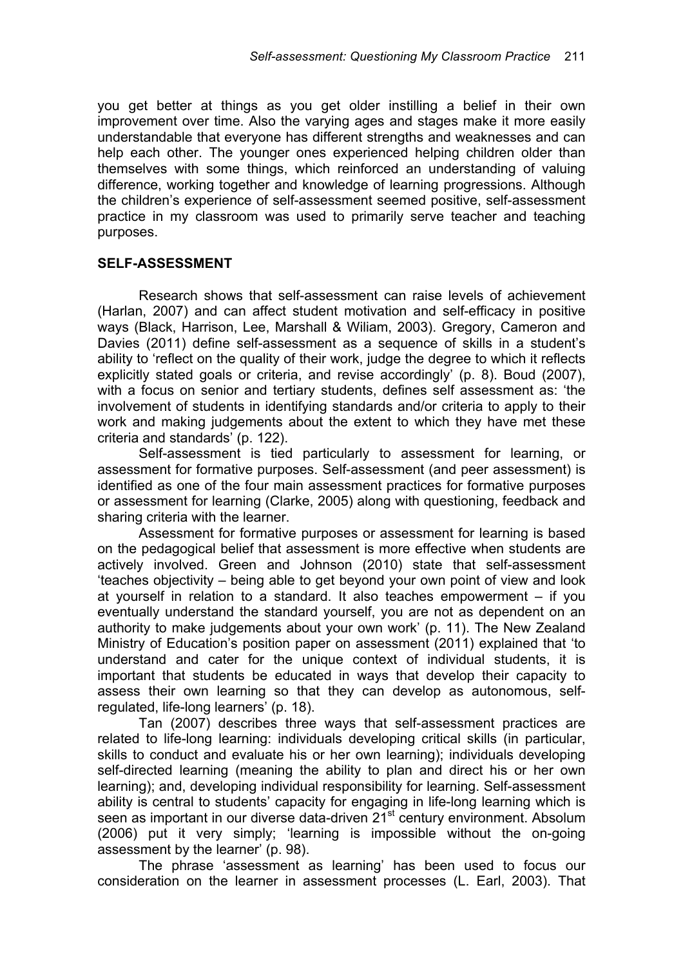you get better at things as you get older instilling a belief in their own improvement over time. Also the varying ages and stages make it more easily understandable that everyone has different strengths and weaknesses and can help each other. The younger ones experienced helping children older than themselves with some things, which reinforced an understanding of valuing difference, working together and knowledge of learning progressions. Although the children's experience of self-assessment seemed positive, self-assessment practice in my classroom was used to primarily serve teacher and teaching purposes.

### **SELF-ASSESSMENT**

Research shows that self-assessment can raise levels of achievement (Harlan, 2007) and can affect student motivation and self-efficacy in positive ways (Black, Harrison, Lee, Marshall & Wiliam, 2003). Gregory, Cameron and Davies (2011) define self-assessment as a sequence of skills in a student's ability to 'reflect on the quality of their work, judge the degree to which it reflects explicitly stated goals or criteria, and revise accordingly' (p. 8). Boud (2007), with a focus on senior and tertiary students, defines self assessment as: 'the involvement of students in identifying standards and/or criteria to apply to their work and making judgements about the extent to which they have met these criteria and standards' (p. 122).

Self-assessment is tied particularly to assessment for learning, or assessment for formative purposes. Self-assessment (and peer assessment) is identified as one of the four main assessment practices for formative purposes or assessment for learning (Clarke, 2005) along with questioning, feedback and sharing criteria with the learner.

Assessment for formative purposes or assessment for learning is based on the pedagogical belief that assessment is more effective when students are actively involved. Green and Johnson (2010) state that self-assessment 'teaches objectivity – being able to get beyond your own point of view and look at yourself in relation to a standard. It also teaches empowerment – if you eventually understand the standard yourself, you are not as dependent on an authority to make judgements about your own work' (p. 11). The New Zealand Ministry of Education's position paper on assessment (2011) explained that 'to understand and cater for the unique context of individual students, it is important that students be educated in ways that develop their capacity to assess their own learning so that they can develop as autonomous, selfregulated, life-long learners' (p. 18).

Tan (2007) describes three ways that self-assessment practices are related to life-long learning: individuals developing critical skills (in particular, skills to conduct and evaluate his or her own learning); individuals developing self-directed learning (meaning the ability to plan and direct his or her own learning); and, developing individual responsibility for learning. Self-assessment ability is central to students' capacity for engaging in life-long learning which is seen as important in our diverse data-driven 21<sup>st</sup> century environment. Absolum (2006) put it very simply; 'learning is impossible without the on-going assessment by the learner' (p. 98).

The phrase 'assessment as learning' has been used to focus our consideration on the learner in assessment processes (L. Earl, 2003). That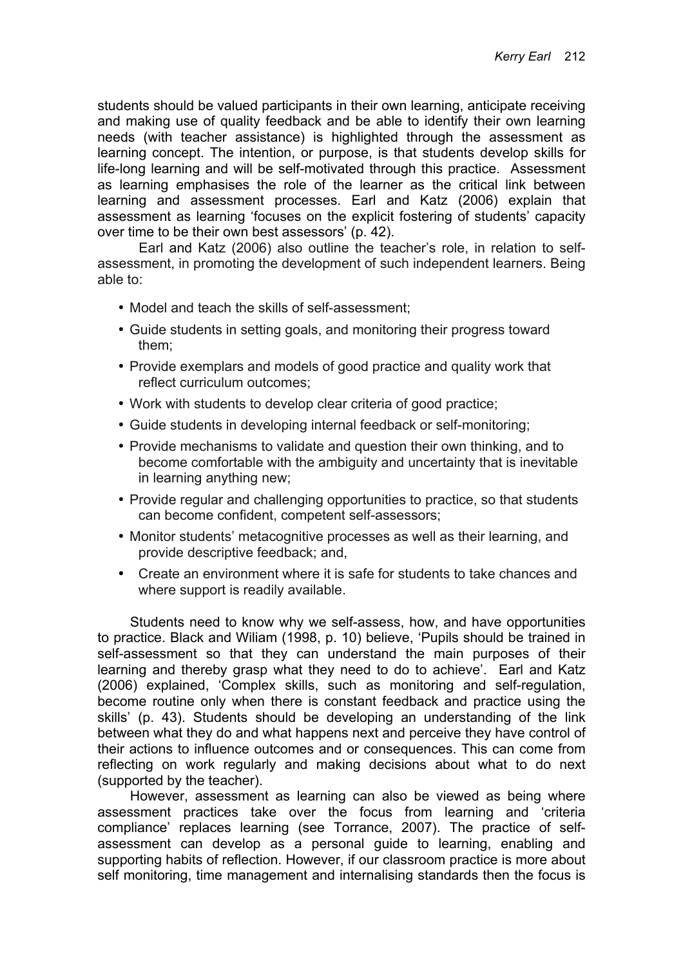students should be valued participants in their own learning, anticipate receiving and making use of quality feedback and be able to identify their own learning needs (with teacher assistance) is highlighted through the assessment as learning concept. The intention, or purpose, is that students develop skills for life-long learning and will be self-motivated through this practice. Assessment as learning emphasises the role of the learner as the critical link between learning and assessment processes. Earl and Katz (2006) explain that assessment as learning 'focuses on the explicit fostering of students' capacity over time to be their own best assessors' (p. 42).

Earl and Katz (2006) also outline the teacher's role, in relation to selfassessment, in promoting the development of such independent learners. Being able to:

- Model and teach the skills of self-assessment;
- Guide students in setting goals, and monitoring their progress toward them;
- Provide exemplars and models of good practice and quality work that reflect curriculum outcomes;
- Work with students to develop clear criteria of good practice;
- Guide students in developing internal feedback or self-monitoring;
- Provide mechanisms to validate and question their own thinking, and to become comfortable with the ambiguity and uncertainty that is inevitable in learning anything new;
- Provide regular and challenging opportunities to practice, so that students can become confident, competent self-assessors;
- Monitor students' metacognitive processes as well as their learning, and provide descriptive feedback; and,
- Create an environment where it is safe for students to take chances and where support is readily available.

Students need to know why we self-assess, how, and have opportunities to practice. Black and Wiliam (1998, p. 10) believe, 'Pupils should be trained in self-assessment so that they can understand the main purposes of their learning and thereby grasp what they need to do to achieve'. Earl and Katz (2006) explained, 'Complex skills, such as monitoring and self-regulation, become routine only when there is constant feedback and practice using the skills' (p. 43). Students should be developing an understanding of the link between what they do and what happens next and perceive they have control of their actions to influence outcomes and or consequences. This can come from reflecting on work regularly and making decisions about what to do next (supported by the teacher).

However, assessment as learning can also be viewed as being where assessment practices take over the focus from learning and 'criteria compliance' replaces learning (see Torrance, 2007). The practice of selfassessment can develop as a personal guide to learning, enabling and supporting habits of reflection. However, if our classroom practice is more about self monitoring, time management and internalising standards then the focus is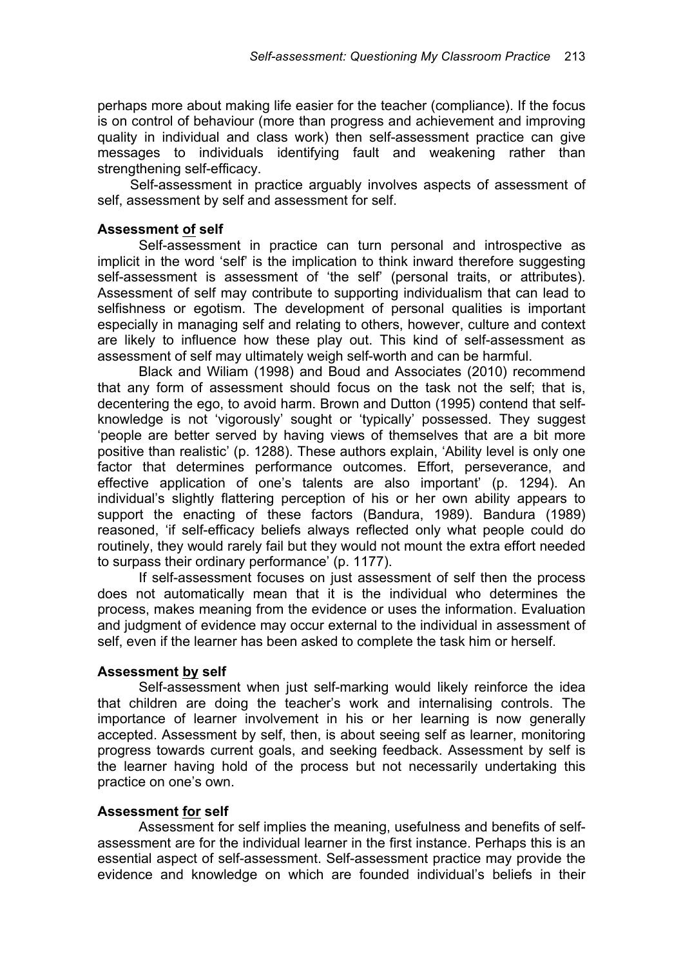perhaps more about making life easier for the teacher (compliance). If the focus is on control of behaviour (more than progress and achievement and improving quality in individual and class work) then self-assessment practice can give messages to individuals identifying fault and weakening rather than strengthening self-efficacy.

Self-assessment in practice arguably involves aspects of assessment of self, assessment by self and assessment for self.

## **Assessment of self**

Self-assessment in practice can turn personal and introspective as implicit in the word 'self' is the implication to think inward therefore suggesting self-assessment is assessment of 'the self' (personal traits, or attributes). Assessment of self may contribute to supporting individualism that can lead to selfishness or egotism. The development of personal qualities is important especially in managing self and relating to others, however, culture and context are likely to influence how these play out. This kind of self-assessment as assessment of self may ultimately weigh self-worth and can be harmful.

Black and Wiliam (1998) and Boud and Associates (2010) recommend that any form of assessment should focus on the task not the self; that is, decentering the ego, to avoid harm. Brown and Dutton (1995) contend that selfknowledge is not 'vigorously' sought or 'typically' possessed. They suggest 'people are better served by having views of themselves that are a bit more positive than realistic' (p. 1288). These authors explain, 'Ability level is only one factor that determines performance outcomes. Effort, perseverance, and effective application of one's talents are also important' (p. 1294). An individual's slightly flattering perception of his or her own ability appears to support the enacting of these factors (Bandura, 1989). Bandura (1989) reasoned, 'if self-efficacy beliefs always reflected only what people could do routinely, they would rarely fail but they would not mount the extra effort needed to surpass their ordinary performance' (p. 1177).

If self-assessment focuses on just assessment of self then the process does not automatically mean that it is the individual who determines the process, makes meaning from the evidence or uses the information. Evaluation and judgment of evidence may occur external to the individual in assessment of self, even if the learner has been asked to complete the task him or herself.

### **Assessment by self**

Self-assessment when just self-marking would likely reinforce the idea that children are doing the teacher's work and internalising controls. The importance of learner involvement in his or her learning is now generally accepted. Assessment by self, then, is about seeing self as learner, monitoring progress towards current goals, and seeking feedback. Assessment by self is the learner having hold of the process but not necessarily undertaking this practice on one's own.

### **Assessment for self**

Assessment for self implies the meaning, usefulness and benefits of selfassessment are for the individual learner in the first instance. Perhaps this is an essential aspect of self-assessment. Self-assessment practice may provide the evidence and knowledge on which are founded individual's beliefs in their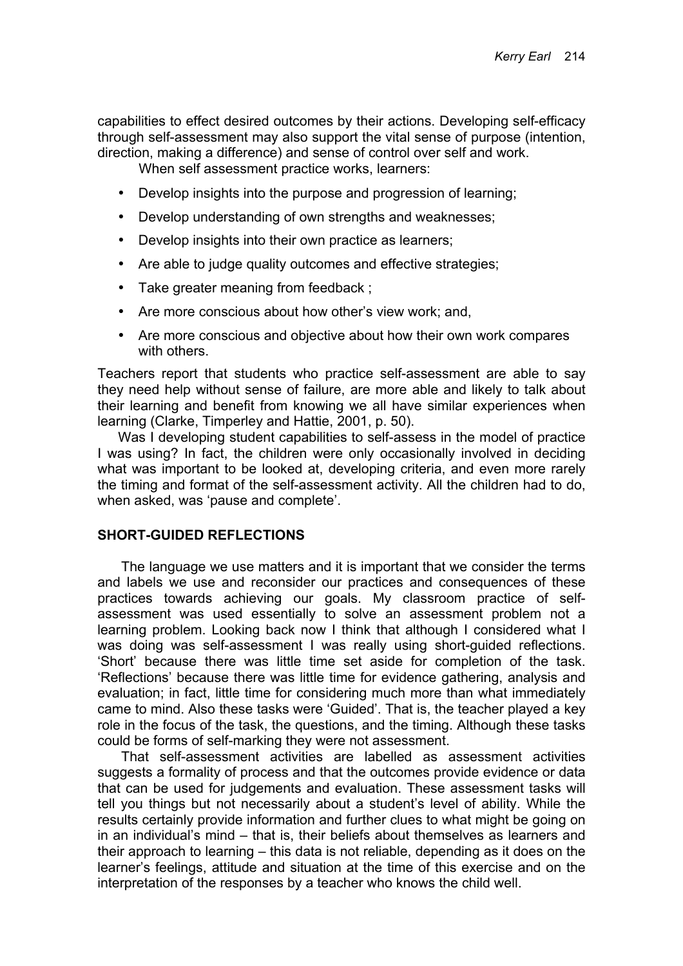capabilities to effect desired outcomes by their actions. Developing self-efficacy through self-assessment may also support the vital sense of purpose (intention, direction, making a difference) and sense of control over self and work.

When self assessment practice works, learners:

- Develop insights into the purpose and progression of learning;
- Develop understanding of own strengths and weaknesses;
- Develop insights into their own practice as learners;
- Are able to judge quality outcomes and effective strategies;
- Take greater meaning from feedback ;
- Are more conscious about how other's view work; and,
- Are more conscious and objective about how their own work compares with others.

Teachers report that students who practice self-assessment are able to say they need help without sense of failure, are more able and likely to talk about their learning and benefit from knowing we all have similar experiences when learning (Clarke, Timperley and Hattie, 2001, p. 50).

Was I developing student capabilities to self-assess in the model of practice I was using? In fact, the children were only occasionally involved in deciding what was important to be looked at, developing criteria, and even more rarely the timing and format of the self-assessment activity. All the children had to do, when asked, was 'pause and complete'.

#### **SHORT-GUIDED REFLECTIONS**

The language we use matters and it is important that we consider the terms and labels we use and reconsider our practices and consequences of these practices towards achieving our goals. My classroom practice of selfassessment was used essentially to solve an assessment problem not a learning problem. Looking back now I think that although I considered what I was doing was self-assessment I was really using short-guided reflections. 'Short' because there was little time set aside for completion of the task. 'Reflections' because there was little time for evidence gathering, analysis and evaluation; in fact, little time for considering much more than what immediately came to mind. Also these tasks were 'Guided'. That is, the teacher played a key role in the focus of the task, the questions, and the timing. Although these tasks could be forms of self-marking they were not assessment.

That self-assessment activities are labelled as assessment activities suggests a formality of process and that the outcomes provide evidence or data that can be used for judgements and evaluation. These assessment tasks will tell you things but not necessarily about a student's level of ability. While the results certainly provide information and further clues to what might be going on in an individual's mind – that is, their beliefs about themselves as learners and their approach to learning – this data is not reliable, depending as it does on the learner's feelings, attitude and situation at the time of this exercise and on the interpretation of the responses by a teacher who knows the child well.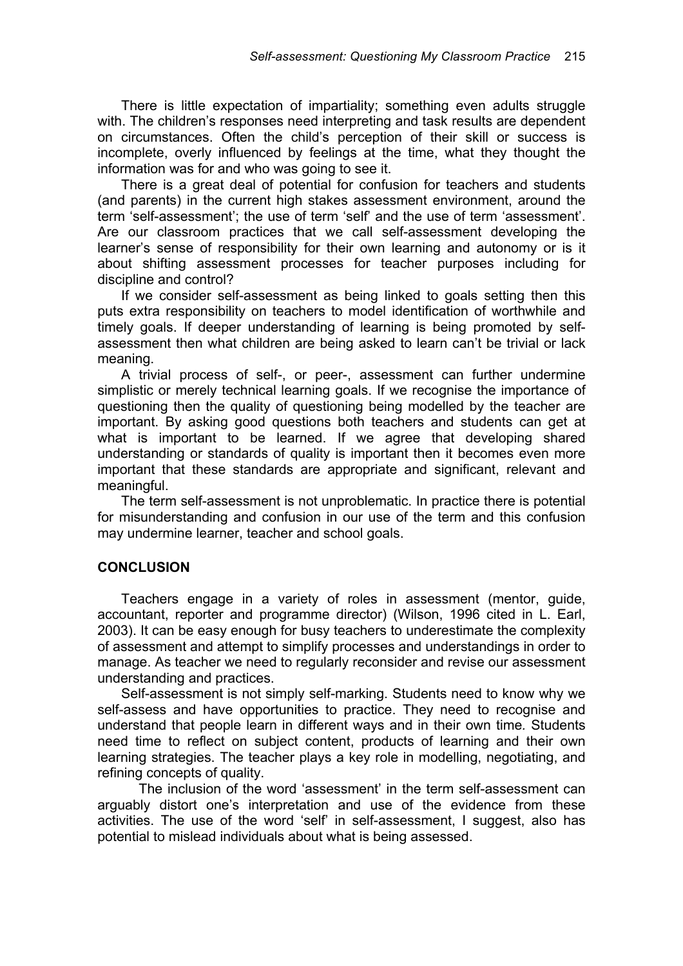There is little expectation of impartiality; something even adults struggle with. The children's responses need interpreting and task results are dependent on circumstances. Often the child's perception of their skill or success is incomplete, overly influenced by feelings at the time, what they thought the information was for and who was going to see it.

There is a great deal of potential for confusion for teachers and students (and parents) in the current high stakes assessment environment, around the term 'self-assessment'; the use of term 'self' and the use of term 'assessment'. Are our classroom practices that we call self-assessment developing the learner's sense of responsibility for their own learning and autonomy or is it about shifting assessment processes for teacher purposes including for discipline and control?

If we consider self-assessment as being linked to goals setting then this puts extra responsibility on teachers to model identification of worthwhile and timely goals. If deeper understanding of learning is being promoted by selfassessment then what children are being asked to learn can't be trivial or lack meaning.

A trivial process of self-, or peer-, assessment can further undermine simplistic or merely technical learning goals. If we recognise the importance of questioning then the quality of questioning being modelled by the teacher are important. By asking good questions both teachers and students can get at what is important to be learned. If we agree that developing shared understanding or standards of quality is important then it becomes even more important that these standards are appropriate and significant, relevant and meaningful.

The term self-assessment is not unproblematic. In practice there is potential for misunderstanding and confusion in our use of the term and this confusion may undermine learner, teacher and school goals.

### **CONCLUSION**

Teachers engage in a variety of roles in assessment (mentor, guide, accountant, reporter and programme director) (Wilson, 1996 cited in L. Earl, 2003). It can be easy enough for busy teachers to underestimate the complexity of assessment and attempt to simplify processes and understandings in order to manage. As teacher we need to regularly reconsider and revise our assessment understanding and practices.

Self-assessment is not simply self-marking. Students need to know why we self-assess and have opportunities to practice. They need to recognise and understand that people learn in different ways and in their own time*.* Students need time to reflect on subject content, products of learning and their own learning strategies. The teacher plays a key role in modelling, negotiating, and refining concepts of quality.

The inclusion of the word 'assessment' in the term self-assessment can arguably distort one's interpretation and use of the evidence from these activities. The use of the word 'self' in self-assessment, I suggest, also has potential to mislead individuals about what is being assessed.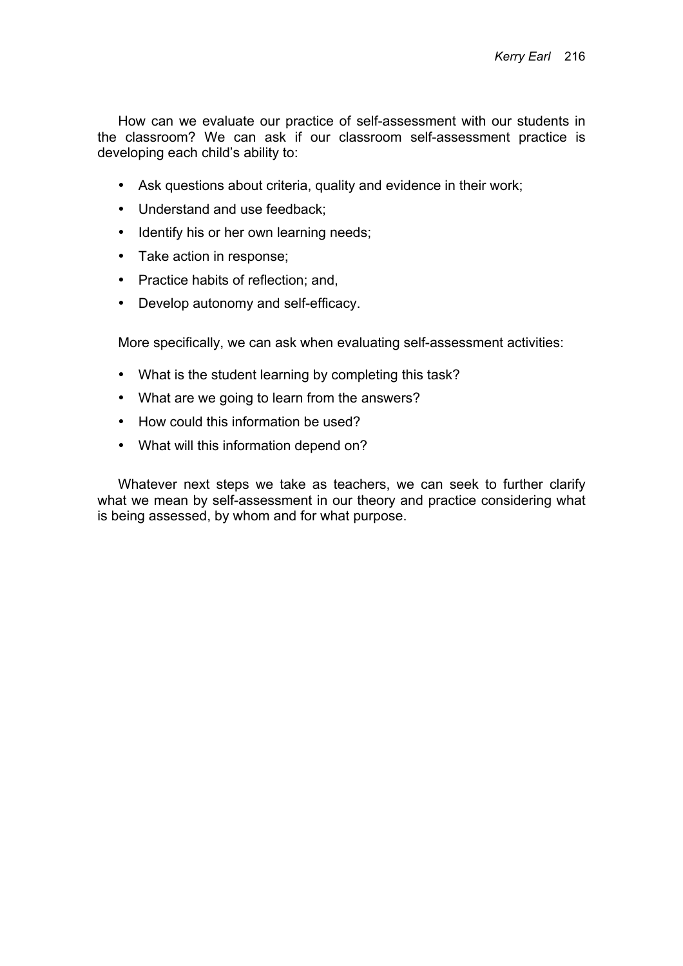How can we evaluate our practice of self-assessment with our students in the classroom? We can ask if our classroom self-assessment practice is developing each child's ability to:

- Ask questions about criteria, quality and evidence in their work;
- Understand and use feedback;
- Identify his or her own learning needs;
- Take action in response;
- Practice habits of reflection; and,
- Develop autonomy and self-efficacy.

More specifically, we can ask when evaluating self-assessment activities:

- What is the student learning by completing this task?
- What are we going to learn from the answers?
- How could this information be used?
- What will this information depend on?

Whatever next steps we take as teachers, we can seek to further clarify what we mean by self-assessment in our theory and practice considering what is being assessed, by whom and for what purpose.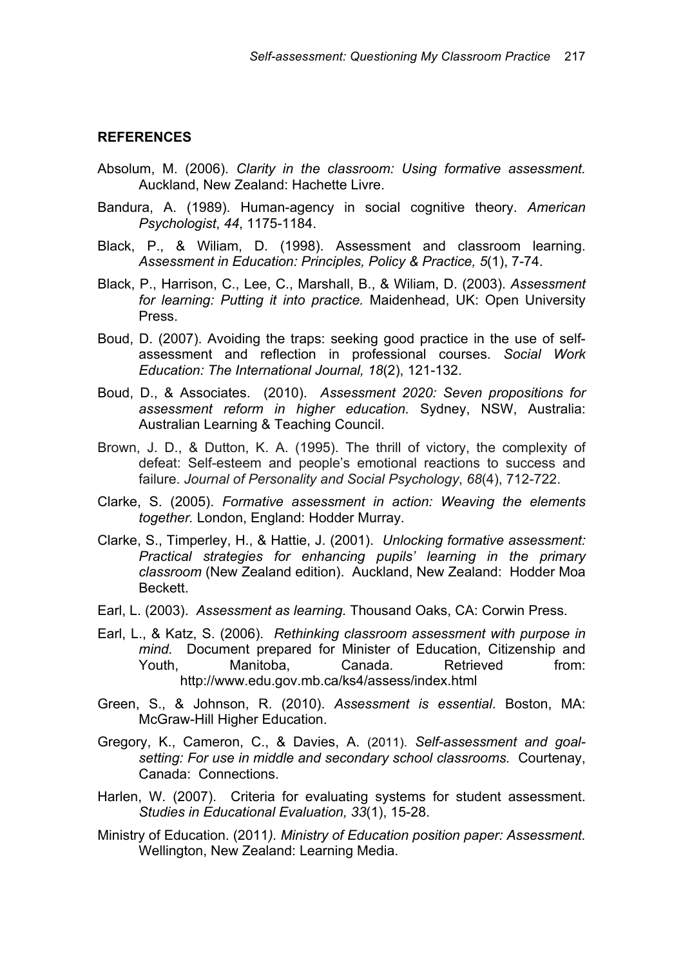#### **REFERENCES**

- Absolum, M. (2006). *Clarity in the classroom: Using formative assessment.* Auckland, New Zealand: Hachette Livre.
- Bandura, A. (1989). Human-agency in social cognitive theory. *American Psychologist*, *44*, 1175-1184.
- Black, P., & Wiliam, D. (1998). Assessment and classroom learning. *Assessment in Education: Principles, Policy & Practice, 5*(1), 7-74.
- Black, P., Harrison, C., Lee, C., Marshall, B., & Wiliam, D. (2003). *Assessment for learning: Putting it into practice.* Maidenhead, UK: Open University Press.
- Boud, D. (2007). Avoiding the traps: seeking good practice in the use of selfassessment and reflection in professional courses. *Social Work Education: The International Journal, 18*(2), 121-132.
- Boud, D., & Associates. (2010). *Assessment 2020: Seven propositions for assessment reform in higher education.* Sydney, NSW, Australia: Australian Learning & Teaching Council.
- Brown, J. D., & Dutton, K. A. (1995). The thrill of victory, the complexity of defeat: Self-esteem and people's emotional reactions to success and failure. *Journal of Personality and Social Psychology*, *68*(4), 712-722.
- Clarke, S. (2005). *Formative assessment in action: Weaving the elements together.* London, England: Hodder Murray.
- Clarke, S., Timperley, H., & Hattie, J. (2001). *Unlocking formative assessment: Practical strategies for enhancing pupils' learning in the primary classroom* (New Zealand edition). Auckland, New Zealand: Hodder Moa Beckett.
- Earl, L. (2003). *Assessment as learning.* Thousand Oaks, CA: Corwin Press.
- Earl, L., & Katz, S. (2006). *Rethinking classroom assessment with purpose in mind.* Document prepared for Minister of Education, Citizenship and Youth, Manitoba, Canada. Retrieved from: http://www.edu.gov.mb.ca/ks4/assess/index.html
- Green, S., & Johnson, R. (2010). *Assessment is essential*. Boston, MA: McGraw-Hill Higher Education.
- Gregory, K., Cameron, C., & Davies, A. (2011). *Self-assessment and goalsetting: For use in middle and secondary school classrooms.* Courtenay, Canada: Connections.
- Harlen, W. (2007). Criteria for evaluating systems for student assessment. *Studies in Educational Evaluation, 33*(1), 15-28.
- Ministry of Education. (2011*). Ministry of Education position paper: Assessment.* Wellington, New Zealand: Learning Media.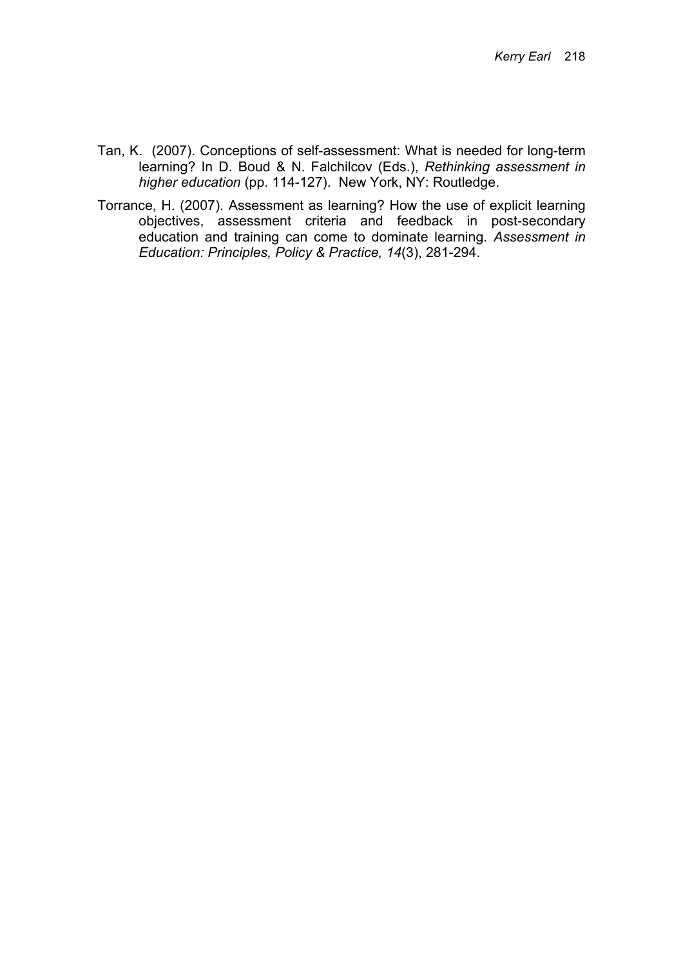- Tan, K. (2007). Conceptions of self-assessment: What is needed for long-term learning? In D. Boud & N. Falchilcov (Eds.), *Rethinking assessment in higher education* (pp. 114-127). New York, NY: Routledge.
- Torrance, H. (2007). Assessment as learning? How the use of explicit learning objectives, assessment criteria and feedback in post-secondary education and training can come to dominate learning. *Assessment in Education: Principles, Policy & Practice, 14*(3), 281-294.